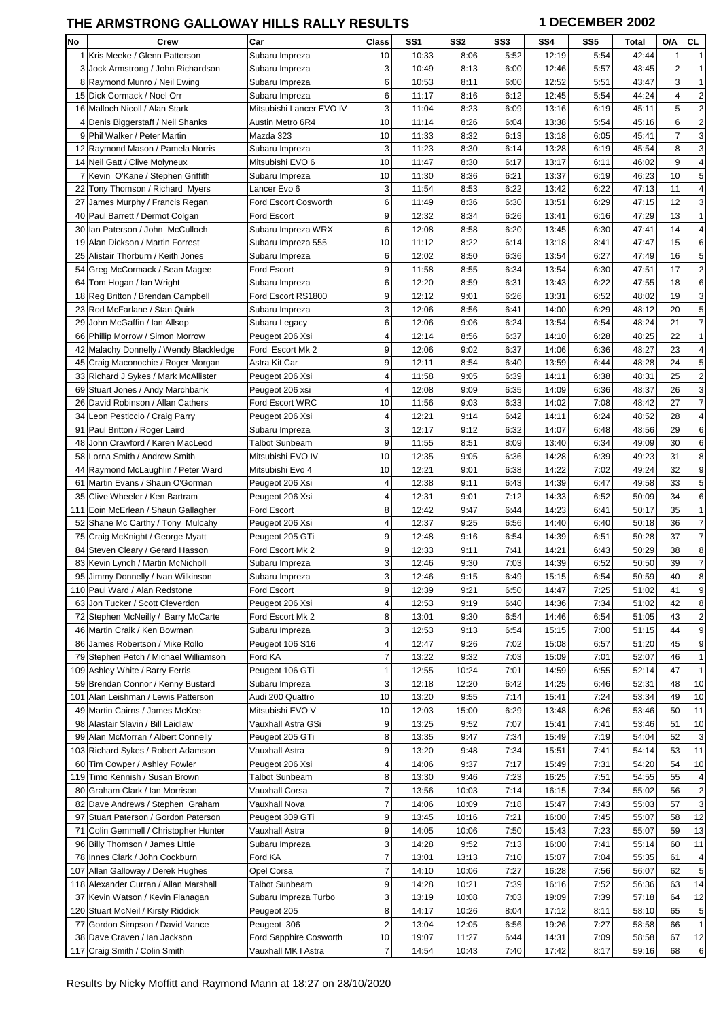## THE ARMSTRONG GALLOWAY HILLS RALLY RESULTS **1 DECEMBER 2002**

| No | Crew                                   | Car                         | Class                   | SS1   | SS <sub>2</sub> | SS <sub>3</sub> | SS <sub>4</sub> | SS <sub>5</sub> | Total | O/A                     | CL                      |
|----|----------------------------------------|-----------------------------|-------------------------|-------|-----------------|-----------------|-----------------|-----------------|-------|-------------------------|-------------------------|
|    | 1 Kris Meeke / Glenn Patterson         | Subaru Impreza              | 10                      | 10:33 | 8:06            | 5:52            | 12:19           | 5:54            | 42:44 | $\mathbf{1}$            |                         |
|    | 3 Jock Armstrong / John Richardson     | Subaru Impreza              | 3                       | 10:49 | 8:13            | 6:00            | 12:46           | 5:57            | 43:45 | 2                       | 1                       |
|    | 8 Raymond Munro / Neil Ewing           | Subaru Impreza              | 6                       | 10:53 | 8:11            | 6:00            | 12:52           | 5:51            | 43:47 | 3                       | 1                       |
|    | 15 Dick Cormack / Noel Orr             | Subaru Impreza              | 6                       | 11:17 | 8:16            | 6:12            | 12:45           | 5:54            | 44:24 | $\overline{\mathbf{4}}$ | $\overline{c}$          |
|    | 16 Malloch Nicoll / Alan Stark         | Mitsubishi Lancer EVO IV    | 3                       | 11:04 | 8:23            | 6:09            | 13:16           | 6:19            | 45:11 | 5                       | $\overline{c}$          |
|    | 4 Denis Biggerstaff / Neil Shanks      | Austin Metro 6R4            | 10                      | 11:14 | 8:26            | 6:04            | 13:38           | 5:54            | 45:16 | 6                       | 2                       |
|    |                                        |                             |                         |       |                 |                 |                 |                 |       | $\overline{7}$          |                         |
|    | 9 Phil Walker / Peter Martin           | Mazda 323                   | 10                      | 11:33 | 8:32            | 6:13            | 13:18           | 6:05            | 45:41 |                         | 3                       |
|    | 12 Raymond Mason / Pamela Norris       | Subaru Impreza              | 3                       | 11:23 | 8:30            | 6:14            | 13:28           | 6:19            | 45:54 | 8                       | 3                       |
|    | 14 Neil Gatt / Clive Molyneux          | Mitsubishi EVO 6            | 10                      | 11:47 | 8:30            | 6:17            | 13:17           | 6:11            | 46:02 | 9                       | 4                       |
|    | 7 Kevin O'Kane / Stephen Griffith      | Subaru Impreza              | 10                      | 11:30 | 8:36            | 6:21            | 13:37           | 6:19            | 46:23 | 10                      | 5                       |
|    | 22 Tony Thomson / Richard Myers        | Lancer Evo 6                | 3                       | 11:54 | 8:53            | 6:22            | 13:42           | 6:22            | 47:13 | 11                      | 4                       |
|    | 27 James Murphy / Francis Regan        | <b>Ford Escort Cosworth</b> | 6                       | 11:49 | 8:36            | 6:30            | 13:51           | 6:29            | 47:15 | 12                      | 3                       |
|    | 40 Paul Barrett / Dermot Colgan        | Ford Escort                 | 9                       | 12:32 | 8:34            | 6:26            | 13:41           | 6:16            | 47:29 | 13                      | 1                       |
|    | 30 Ian Paterson / John McCulloch       | Subaru Impreza WRX          | 6                       | 12:08 | 8:58            | 6:20            | 13:45           | 6:30            | 47:41 | 14                      | 4                       |
|    | 19 Alan Dickson / Martin Forrest       | Subaru Impreza 555          | 10                      | 11:12 | 8:22            | 6:14            | 13:18           | 8:41            | 47:47 | 15                      | 6                       |
| 25 | Alistair Thorburn / Keith Jones        | Subaru Impreza              | 6                       | 12:02 | 8:50            | 6:36            | 13:54           | 6:27            | 47:49 | 16                      | 5                       |
|    | 54 Greg McCormack / Sean Magee         | Ford Escort                 | 9                       | 11:58 | 8:55            | 6:34            | 13:54           | 6:30            | 47:51 | 17                      | $\overline{c}$          |
|    | 64 Tom Hogan / Ian Wright              | Subaru Impreza              | 6                       | 12:20 | 8:59            | 6:31            | 13:43           | 6:22            | 47:55 | 18                      | 6                       |
|    | 18 Reg Britton / Brendan Campbell      | Ford Escort RS1800          | 9                       | 12:12 | 9:01            | 6:26            | 13:31           | 6:52            | 48:02 | 19                      | 3                       |
|    | 23 Rod McFarlane / Stan Quirk          | Subaru Impreza              | 3                       | 12:06 | 8:56            | 6:41            | 14:00           | 6:29            | 48:12 | 20                      | 5                       |
|    | 29 John McGaffin / Ian Allsop          |                             | 6                       | 12:06 | 9:06            | 6:24            | 13:54           | 6:54            | 48:24 | 21                      | 7                       |
|    |                                        | Subaru Legacy               | $\overline{4}$          |       |                 |                 |                 |                 |       |                         |                         |
|    | 66 Phillip Morrow / Simon Morrow       | Peugeot 206 Xsi             |                         | 12:14 | 8:56            | 6:37            | 14:10           | 6:28            | 48:25 | 22                      | 1                       |
|    | 42 Malachy Donnelly / Wendy Blackledge | Ford Escort Mk 2            | 9                       | 12:06 | 9:02            | 6:37            | 14:06           | 6:36            | 48:27 | 23                      | 4                       |
|    | 45 Craig Maconochie / Roger Morgan     | Astra Kit Car               | 9                       | 12:11 | 8:54            | 6:40            | 13:59           | 6:44            | 48:28 | 24                      | 5                       |
|    | 33 Richard J Sykes / Mark McAllister   | Peugeot 206 Xsi             | 4                       | 11:58 | 9:05            | 6:39            | 14:11           | 6:38            | 48:31 | 25                      | $\overline{\mathbf{c}}$ |
|    | 69 Stuart Jones / Andy Marchbank       | Peugeot 206 xsi             | 4                       | 12:08 | 9:09            | 6:35            | 14:09           | 6:36            | 48:37 | 26                      | 3                       |
|    | 26 David Robinson / Allan Cathers      | Ford Escort WRC             | 10                      | 11:56 | 9:03            | 6:33            | 14:02           | 7:08            | 48:42 | 27                      | 7                       |
|    | 34 Leon Pesticcio / Craig Parry        | Peugeot 206 Xsi             | 4                       | 12:21 | 9:14            | 6:42            | 14:11           | 6:24            | 48:52 | 28                      | 4                       |
|    | 91 Paul Britton / Roger Laird          | Subaru Impreza              | 3                       | 12:17 | 9:12            | 6:32            | 14:07           | 6:48            | 48:56 | 29                      | 6                       |
|    | 48 John Crawford / Karen MacLeod       | Talbot Sunbeam              | 9                       | 11:55 | 8:51            | 8:09            | 13:40           | 6:34            | 49:09 | 30                      | 6                       |
|    | 58 Lorna Smith / Andrew Smith          | Mitsubishi EVO IV           | 10                      | 12:35 | 9:05            | 6:36            | 14:28           | 6:39            | 49:23 | 31                      | 8                       |
|    | 44 Raymond McLaughlin / Peter Ward     | Mitsubishi Evo 4            | 10                      | 12:21 | 9:01            | 6:38            | 14:22           | 7:02            | 49:24 | 32                      | 9                       |
|    | 61 Martin Evans / Shaun O'Gorman       | Peugeot 206 Xsi             | 4                       | 12:38 | 9:11            | 6:43            | 14:39           | 6:47            | 49:58 | 33                      | 5                       |
| 35 | Clive Wheeler / Ken Bartram            | Peugeot 206 Xsi             | 4                       | 12:31 | 9:01            | 7:12            | 14:33           | 6:52            | 50:09 | 34                      | 6                       |
|    | 111 Eoin McErlean / Shaun Gallagher    | Ford Escort                 | 8                       | 12:42 | 9:47            | 6:44            | 14:23           | 6:41            | 50:17 | 35                      | 1                       |
|    | 52 Shane Mc Carthy / Tony Mulcahy      | Peugeot 206 Xsi             | 4                       | 12:37 | 9:25            | 6:56            | 14:40           | 6:40            | 50:18 | 36                      | $\overline{7}$          |
|    | 75 Craig McKnight / George Myatt       | Peugeot 205 GTi             | 9                       | 12:48 | 9:16            | 6:54            | 14:39           | 6:51            | 50:28 | 37                      | 7                       |
|    |                                        |                             | 9                       |       | 9:11            |                 |                 |                 | 50:29 | 38                      | 8                       |
|    | 84 Steven Cleary / Gerard Hasson       | Ford Escort Mk 2            | 3                       | 12:33 |                 | 7:41            | 14:21           | 6:43            |       | 39                      | $\overline{7}$          |
|    | 83 Kevin Lynch / Martin McNicholl      | Subaru Impreza              |                         | 12:46 | 9:30            | 7:03            | 14:39           | 6:52            | 50:50 |                         |                         |
| 95 | Jimmy Donnelly / Ivan Wilkinson        | Subaru Impreza              | 3                       | 12:46 | 9:15            | 6:49            | 15:15           | 6:54            | 50:59 | 40                      | 8                       |
|    | 110 Paul Ward / Alan Redstone          | Ford Escort                 | 9                       | 12:39 | 9:21            | 6:50            | 14:47           | 7:25            | 51:02 | 41                      | 9                       |
|    | 63 Jon Tucker / Scott Cleverdon        | Peugeot 206 Xsi             | 4                       | 12:53 | 9:19            | 6:40            | 14:36           | 7:34            | 51:02 | 42                      | 8                       |
|    | 72 Stephen McNeilly / Barry McCarte    | Ford Escort Mk 2            | 8                       | 13:01 | 9:30            | 6:54            | 14:46           | 6:54            | 51:05 | 43                      | $\overline{\mathbf{c}}$ |
|    | 46 Martin Craik / Ken Bowman           | Subaru Impreza              | 3                       | 12:53 | 9:13            | 6:54            | 15:15           | 7:00            | 51:15 | 44                      | 9                       |
|    | 86 James Robertson / Mike Rollo        | Peugeot 106 S16             | 4                       | 12:47 | 9:26            | 7:02            | 15:08           | 6:57            | 51:20 | 45                      | 9                       |
|    | 79 Stephen Petch / Michael Williamson  | Ford KA                     | 7                       | 13:22 | 9:32            | 7:03            | 15:09           | 7:01            | 52:07 | 46                      | 1                       |
|    | 109 Ashley White / Barry Ferris        | Peugeot 106 GTi             | 1                       | 12:55 | 10:24           | 7:01            | 14:59           | 6:55            | 52:14 | 47                      | 1                       |
|    | 59 Brendan Connor / Kenny Bustard      | Subaru Impreza              | 3                       | 12:18 | 12:20           | 6:42            | 14:25           | 6:46            | 52:31 | 48                      | 10                      |
|    | 101 Alan Leishman / Lewis Patterson    | Audi 200 Quattro            | 10                      | 13:20 | 9:55            | 7:14            | 15:41           | 7:24            | 53:34 | 49                      | 10                      |
|    | 49 Martin Cairns / James McKee         | Mitsubishi EVO V            | 10                      | 12:03 | 15:00           | 6:29            | 13:48           | 6:26            | 53:46 | 50                      | 11                      |
|    | 98 Alastair Slavin / Bill Laidlaw      | Vauxhall Astra GSi          | 9                       | 13:25 | 9:52            | 7:07            | 15:41           | 7:41            | 53:46 | 51                      | 10                      |
|    | 99 Alan McMorran / Albert Connelly     | Peugeot 205 GTi             | 8                       | 13:35 | 9:47            | 7:34            | 15:49           | 7:19            | 54:04 | 52                      | 3                       |
|    | 103 Richard Sykes / Robert Adamson     | Vauxhall Astra              | 9                       | 13:20 | 9:48            | 7:34            | 15:51           | 7:41            | 54:14 | 53                      | 11                      |
|    | 60 Tim Cowper / Ashley Fowler          |                             | 4                       | 14:06 | 9:37            | 7:17            | 15:49           | 7:31            | 54:20 | 54                      | 10                      |
|    |                                        | Peugeot 206 Xsi             | 8                       |       | 9:46            | 7:23            | 16:25           |                 | 54:55 | 55                      | $\overline{4}$          |
|    | 119 Timo Kennish / Susan Brown         | Talbot Sunbeam              |                         | 13:30 |                 |                 |                 | 7:51            |       |                         |                         |
|    | 80 Graham Clark / Ian Morrison         | Vauxhall Corsa              | 7                       | 13:56 | 10:03           | 7:14            | 16:15           | 7:34            | 55:02 | 56                      | $\overline{\mathbf{c}}$ |
|    | 82 Dave Andrews / Stephen Graham       | Vauxhall Nova               | $\overline{7}$          | 14:06 | 10:09           | 7:18            | 15:47           | 7:43            | 55:03 | 57                      | 3                       |
|    | 97 Stuart Paterson / Gordon Paterson   | Peugeot 309 GTi             | 9                       | 13:45 | 10:16           | 7:21            | 16:00           | 7:45            | 55:07 | 58                      | 12                      |
| 71 | Colin Gemmell / Christopher Hunter     | Vauxhall Astra              | 9                       | 14:05 | 10:06           | 7:50            | 15:43           | 7:23            | 55:07 | 59                      | 13                      |
|    | 96 Billy Thomson / James Little        | Subaru Impreza              | 3                       | 14:28 | 9:52            | 7:13            | 16:00           | 7:41            | 55:14 | 60                      | 11                      |
|    | 78 Innes Clark / John Cockburn         | Ford KA                     | $\overline{7}$          | 13:01 | 13:13           | 7:10            | 15:07           | 7:04            | 55:35 | 61                      | 4                       |
|    | 107 Allan Galloway / Derek Hughes      | Opel Corsa                  | 7                       | 14:10 | 10:06           | 7:27            | 16:28           | 7:56            | 56:07 | 62                      | 5                       |
|    | 118 Alexander Curran / Allan Marshall  | Talbot Sunbeam              | 9                       | 14:28 | 10:21           | 7:39            | 16:16           | 7:52            | 56:36 | 63                      | 14                      |
|    | 37 Kevin Watson / Kevin Flanagan       | Subaru Impreza Turbo        | 3                       | 13:19 | 10:08           | 7:03            | 19:09           | 7:39            | 57:18 | 64                      | 12                      |
|    | 120 Stuart McNeil / Kirsty Riddick     | Peugeot 205                 | 8                       | 14:17 | 10:26           | 8:04            | 17:12           | 8:11            | 58:10 | 65                      | 5                       |
|    | 77 Gordon Simpson / David Vance        | Peugeot 306                 | $\overline{\mathbf{c}}$ | 13:04 | 12:05           | 6:56            | 19:26           | 7:27            | 58:58 | 66                      | $\mathbf{1}$            |
|    | 38 Dave Craven / Ian Jackson           | Ford Sapphire Cosworth      | 10                      | 19:07 | 11:27           | 6:44            | 14:31           | 7:09            | 58:58 | 67                      | 12                      |
|    | 117 Craig Smith / Colin Smith          | Vauxhall MK I Astra         | 7                       | 14:54 | 10:43           | 7:40            | 17:42           | 8:17            | 59:16 | 68                      | 6                       |